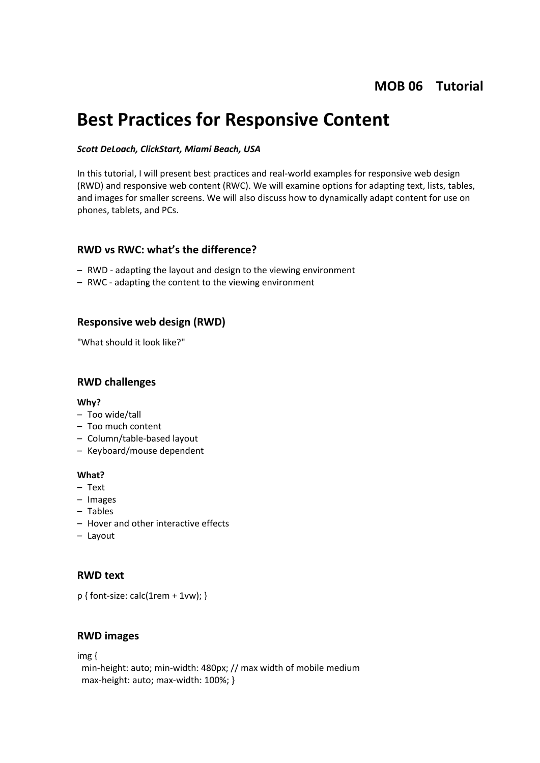## **MOB 06 Tutorial**

# **Best Practices for Responsive Content**

#### *Scott DeLoach, ClickStart, Miami Beach, USA*

In this tutorial, I will present best practices and real-world examples for responsive web design (RWD) and responsive web content (RWC). We will examine options for adapting text, lists, tables, and images for smaller screens. We will also discuss how to dynamically adapt content for use on phones, tablets, and PCs.

#### **RWD vs RWC: what's the difference?**

- RWD adapting the layout and design to the viewing environment
- RWC adapting the content to the viewing environment

#### **Responsive web design (RWD)**

"What should it look like?"

#### **RWD challenges**

#### **Why?**

- Too wide/tall
- Too much content
- Column/table-based layout
- Keyboard/mouse dependent

#### **What?**

- Text
- Images
- Tables
- Hover and other interactive effects
- Layout

#### **RWD text**

p { font-size: calc(1rem + 1vw); }

#### **RWD images**

img {

 min-height: auto; min-width: 480px; // max width of mobile medium max-height: auto; max-width: 100%; }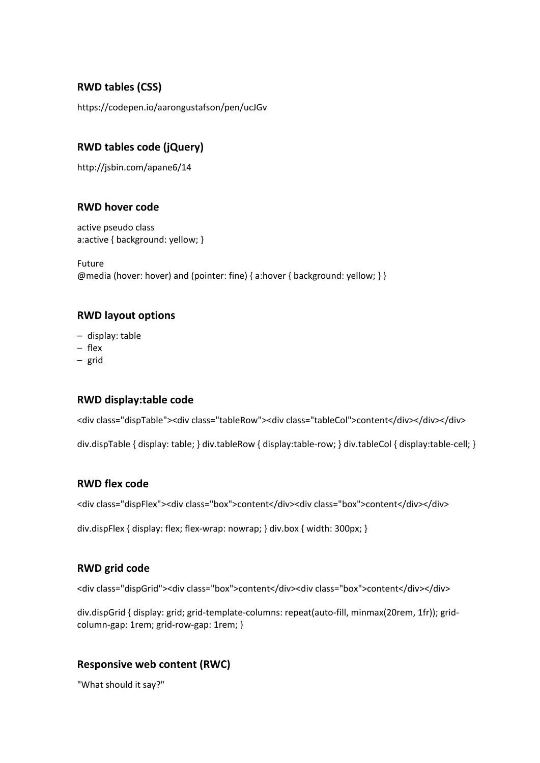## **RWD tables (CSS)**

https://codepen.io/aarongustafson/pen/ucJGv

## **RWD tables code (jQuery)**

http://jsbin.com/apane6/14

#### **RWD hover code**

active pseudo class a:active { background: yellow; }

Future @media (hover: hover) and (pointer: fine) { a:hover { background: yellow; } }

## **RWD layout options**

- display: table
- flex
- grid

## **RWD display:table code**

<div class="dispTable"><div class="tableRow"><div class="tableCol">content</div></div></div>

div.dispTable { display: table; } div.tableRow { display:table-row; } div.tableCol { display:table-cell; }

## **RWD flex code**

<div class="dispFlex"><div class="box">content</div><div class="box">content</div></div>

div.dispFlex { display: flex; flex-wrap: nowrap; } div.box { width: 300px; }

## **RWD grid code**

<div class="dispGrid"><div class="box">content</div><div class="box">content</div></div>

div.dispGrid { display: grid; grid-template-columns: repeat(auto-fill, minmax(20rem, 1fr)); gridcolumn-gap: 1rem; grid-row-gap: 1rem; }

## **Responsive web content (RWC)**

"What should it say?"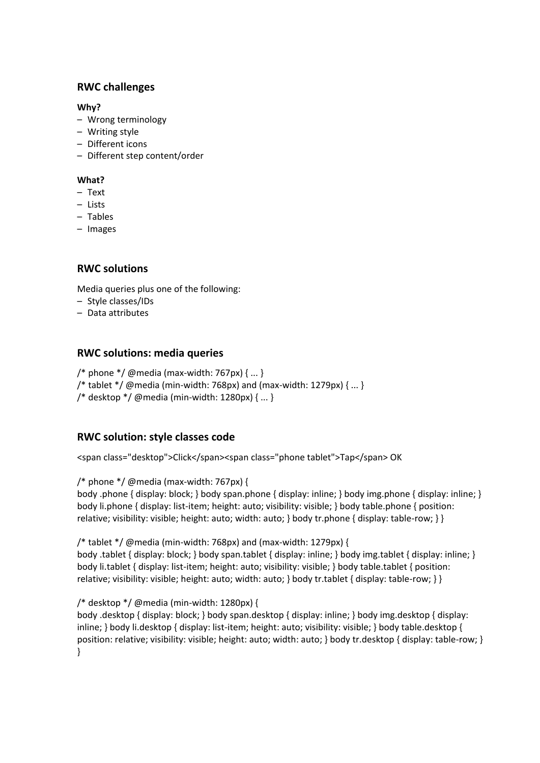## **RWC challenges**

#### **Why?**

- Wrong terminology
- Writing style
- Different icons
- Different step content/order

#### **What?**

- Text
- Lists
- Tables
- Images

#### **RWC solutions**

Media queries plus one of the following:

- Style classes/IDs
- Data attributes

#### **RWC solutions: media queries**

- /\* phone \*/ @media (max-width:  $767px$ ) { ... }
- /\* tablet  $*/$  @media (min-width: 768px) and (max-width: 1279px)  $\{...\}$
- /\* desktop \*/ @media (min-width: 1280px) { ... }

## **RWC solution: style classes code**

<span class="desktop">Click</span><span class="phone tablet">Tap</span> OK

/\* phone  $\frac{*}{\omega}$  @media (max-width: 767px) {

body .phone { display: block; } body span.phone { display: inline; } body img.phone { display: inline; } body li.phone { display: list-item; height: auto; visibility: visible; } body table.phone { position: relative; visibility: visible; height: auto; width: auto; } body tr.phone { display: table-row; } }

/\* tablet \*/ @media (min-width: 768px) and (max-width: 1279px) {

body .tablet { display: block; } body span.tablet { display: inline; } body img.tablet { display: inline; } body li.tablet { display: list-item; height: auto; visibility: visible; } body table.tablet { position: relative; visibility: visible; height: auto; width: auto; } body tr.tablet { display: table-row; } }

#### /\* desktop \*/ @media (min-width: 1280px) {

body .desktop { display: block; } body span.desktop { display: inline; } body img.desktop { display: inline; } body li.desktop { display: list-item; height: auto; visibility: visible; } body table.desktop { position: relative; visibility: visible; height: auto; width: auto; } body tr.desktop { display: table-row; } }